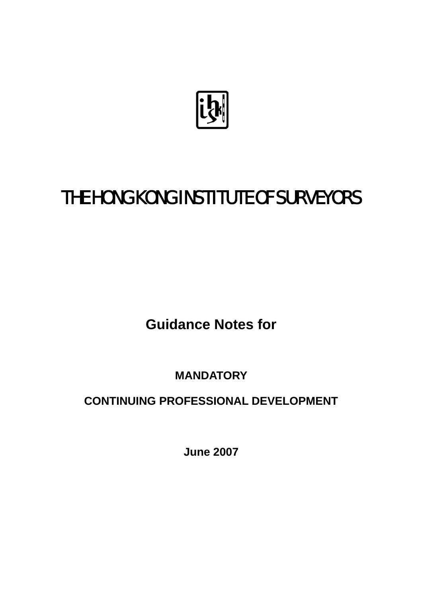

# THE HONG KONG INSTITUTE OF SURVEYORS

**Guidance Notes for** 

**MANDATORY** 

**CONTINUING PROFESSIONAL DEVELOPMENT**

**June 2007**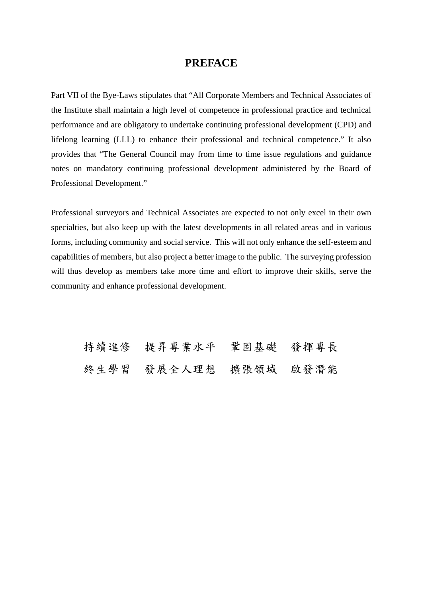#### **PREFACE**

Part VII of the Bye-Laws stipulates that "All Corporate Members and Technical Associates of the Institute shall maintain a high level of competence in professional practice and technical performance and are obligatory to undertake continuing professional development (CPD) and lifelong learning (LLL) to enhance their professional and technical competence." It also provides that "The General Council may from time to time issue regulations and guidance notes on mandatory continuing professional development administered by the Board of Professional Development."

Professional surveyors and Technical Associates are expected to not only excel in their own specialties, but also keep up with the latest developments in all related areas and in various forms, including community and social service. This will not only enhance the self-esteem and capabilities of members, but also project a better image to the public. The surveying profession will thus develop as members take more time and effort to improve their skills, serve the community and enhance professional development.

持續進修 提昇專業水平 鞏固基礎 發揮專長 終生學習 發展全人理想 擴張領域 啟發潛能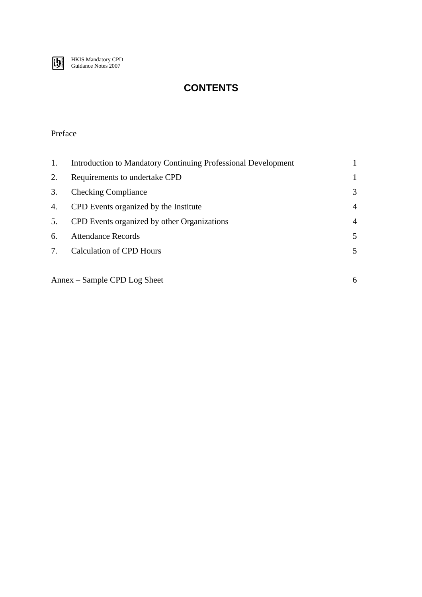

## **CONTENTS**

#### Preface

| 1. | Introduction to Mandatory Continuing Professional Development |    |
|----|---------------------------------------------------------------|----|
| 2. | Requirements to undertake CPD                                 |    |
| 3. | <b>Checking Compliance</b>                                    | 3  |
| 4. | CPD Events organized by the Institute                         | 4  |
| 5. | CPD Events organized by other Organizations                   | 4  |
| 6. | <b>Attendance Records</b>                                     | 5. |
| 7. | Calculation of CPD Hours                                      | 5. |
|    |                                                               |    |

Annex – Sample CPD Log Sheet 6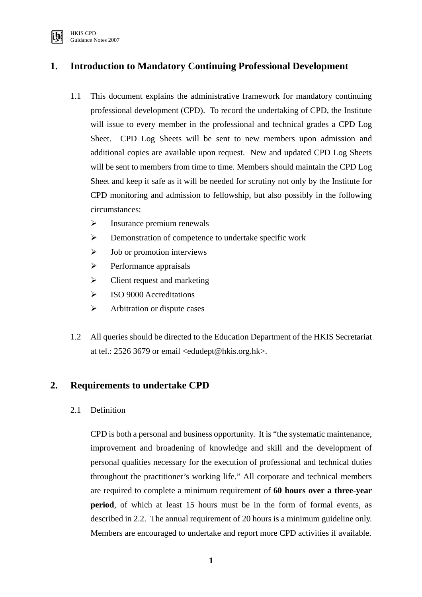

## **1. Introduction to Mandatory Continuing Professional Development**

- 1.1 This document explains the administrative framework for mandatory continuing professional development (CPD). To record the undertaking of CPD, the Institute will issue to every member in the professional and technical grades a CPD Log Sheet. CPD Log Sheets will be sent to new members upon admission and additional copies are available upon request. New and updated CPD Log Sheets will be sent to members from time to time. Members should maintain the CPD Log Sheet and keep it safe as it will be needed for scrutiny not only by the Institute for CPD monitoring and admission to fellowship, but also possibly in the following circumstances:
	- $\triangleright$  Insurance premium renewals
	- ¾ Demonstration of competence to undertake specific work
	- $\triangleright$  Job or promotion interviews
	- $\triangleright$  Performance appraisals
	- $\triangleright$  Client request and marketing
	- $\triangleright$  ISO 9000 Accreditations
	- $\triangleright$  Arbitration or dispute cases
- 1.2 All queries should be directed to the Education Department of the HKIS Secretariat at tel.: 2526 3679 or email <edudept@hkis.org.hk>.

#### **2. Requirements to undertake CPD**

2.1 Definition

CPD is both a personal and business opportunity. It is "the systematic maintenance, improvement and broadening of knowledge and skill and the development of personal qualities necessary for the execution of professional and technical duties throughout the practitioner's working life." All corporate and technical members are required to complete a minimum requirement of **60 hours over a three-year period**, of which at least 15 hours must be in the form of formal events, as described in 2.2.The annual requirement of 20 hours is a minimum guideline only. Members are encouraged to undertake and report more CPD activities if available.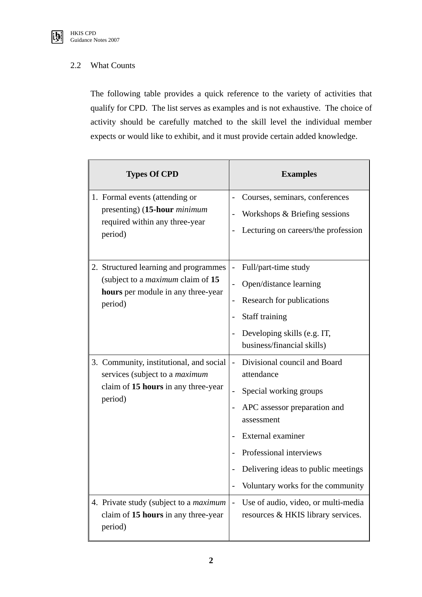

#### 2.2 What Counts

The following table provides a quick reference to the variety of activities that qualify for CPD. The list serves as examples and is not exhaustive. The choice of activity should be carefully matched to the skill level the individual member expects or would like to exhibit, and it must provide certain added knowledge.

| <b>Types Of CPD</b>                                                                                                                | <b>Examples</b>                                                                                                                                                                                                                                                            |  |  |
|------------------------------------------------------------------------------------------------------------------------------------|----------------------------------------------------------------------------------------------------------------------------------------------------------------------------------------------------------------------------------------------------------------------------|--|--|
| 1. Formal events (attending or<br>presenting) (15-hour <i>minimum</i><br>required within any three-year<br>period)                 | Courses, seminars, conferences<br>Workshops & Briefing sessions<br>$\overline{\phantom{0}}$<br>Lecturing on careers/the profession<br>$\qquad \qquad$                                                                                                                      |  |  |
| 2. Structured learning and programmes<br>(subject to a <i>maximum</i> claim of 15<br>hours per module in any three-year<br>period) | Full/part-time study<br>Open/distance learning<br>Research for publications<br>$\overline{a}$<br>Staff training<br>Developing skills (e.g. IT,<br>$\overline{\phantom{a}}$<br>business/financial skills)                                                                   |  |  |
| 3. Community, institutional, and social<br>services (subject to a <i>maximum</i><br>claim of 15 hours in any three-year<br>period) | Divisional council and Board<br>attendance<br>Special working groups<br>$\overline{\phantom{0}}$<br>APC assessor preparation and<br>assessment<br>External examiner<br>Professional interviews<br>Delivering ideas to public meetings<br>Voluntary works for the community |  |  |
| 4. Private study (subject to a <i>maximum</i><br>claim of 15 hours in any three-year<br>period)                                    | Use of audio, video, or multi-media<br>$\overline{a}$<br>resources & HKIS library services.                                                                                                                                                                                |  |  |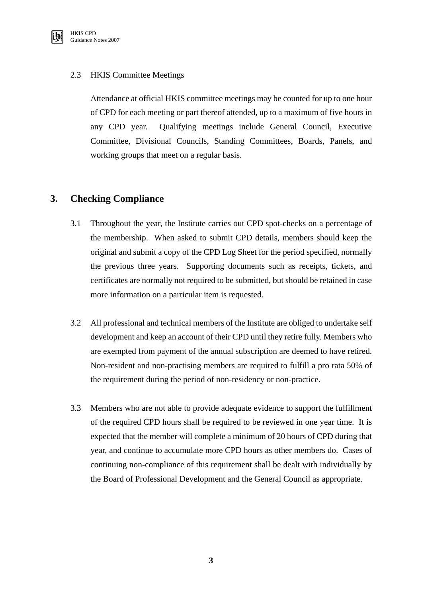

#### 2.3 HKIS Committee Meetings

Attendance at official HKIS committee meetings may be counted for up to one hour of CPD for each meeting or part thereof attended, up to a maximum of five hours in any CPD year. Qualifying meetings include General Council, Executive Committee, Divisional Councils, Standing Committees, Boards, Panels, and working groups that meet on a regular basis.

## **3. Checking Compliance**

- 3.1 Throughout the year, the Institute carries out CPD spot-checks on a percentage of the membership. When asked to submit CPD details, members should keep the original and submit a copy of the CPD Log Sheet for the period specified, normally the previous three years. Supporting documents such as receipts, tickets, and certificates are normally not required to be submitted, but should be retained in case more information on a particular item is requested.
- 3.2 All professional and technical members of the Institute are obliged to undertake self development and keep an account of their CPD until they retire fully. Members who are exempted from payment of the annual subscription are deemed to have retired. Non-resident and non-practising members are required to fulfill a pro rata 50% of the requirement during the period of non-residency or non-practice.
- 3.3 Members who are not able to provide adequate evidence to support the fulfillment of the required CPD hours shall be required to be reviewed in one year time. It is expected that the member will complete a minimum of 20 hours of CPD during that year, and continue to accumulate more CPD hours as other members do. Cases of continuing non-compliance of this requirement shall be dealt with individually by the Board of Professional Development and the General Council as appropriate.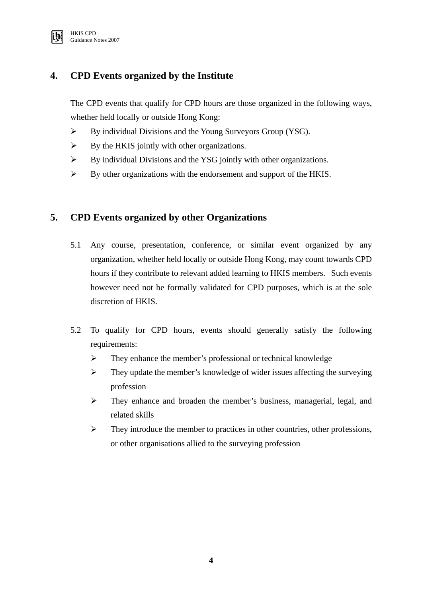

## **4. CPD Events organized by the Institute**

The CPD events that qualify for CPD hours are those organized in the following ways, whether held locally or outside Hong Kong:

- ¾ By individual Divisions and the Young Surveyors Group (YSG).
- $\triangleright$  By the HKIS jointly with other organizations.
- $\triangleright$  By individual Divisions and the YSG jointly with other organizations.
- ¾ By other organizations with the endorsement and support of the HKIS.

## **5. CPD Events organized by other Organizations**

- 5.1 Any course, presentation, conference, or similar event organized by any organization, whether held locally or outside Hong Kong, may count towards CPD hours if they contribute to relevant added learning to HKIS members. Such events however need not be formally validated for CPD purposes, which is at the sole discretion of HKIS.
- 5.2 To qualify for CPD hours, events should generally satisfy the following requirements:
	- ¾ They enhance the member's professional or technical knowledge
	- $\triangleright$  They update the member's knowledge of wider issues affecting the surveying profession
	- ¾ They enhance and broaden the member's business, managerial, legal, and related skills
	- $\triangleright$  They introduce the member to practices in other countries, other professions, or other organisations allied to the surveying profession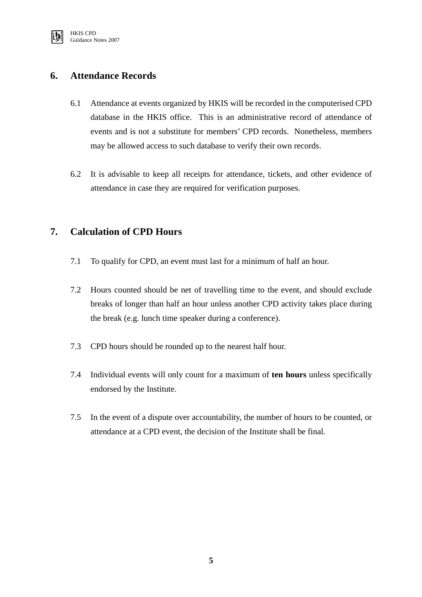

## **6. Attendance Records**

- 6.1 Attendance at events organized by HKIS will be recorded in the computerised CPD database in the HKIS office. This is an administrative record of attendance of events and is not a substitute for members' CPD records. Nonetheless, members may be allowed access to such database to verify their own records.
- 6.2 It is advisable to keep all receipts for attendance, tickets, and other evidence of attendance in case they are required for verification purposes.

## **7. Calculation of CPD Hours**

- 7.1 To qualify for CPD, an event must last for a minimum of half an hour.
- 7.2 Hours counted should be net of travelling time to the event, and should exclude breaks of longer than half an hour unless another CPD activity takes place during the break (e.g. lunch time speaker during a conference).
- 7.3 CPD hours should be rounded up to the nearest half hour.
- 7.4 Individual events will only count for a maximum of **ten hours** unless specifically endorsed by the Institute.
- 7.5 In the event of a dispute over accountability, the number of hours to be counted, or attendance at a CPD event, the decision of the Institute shall be final.